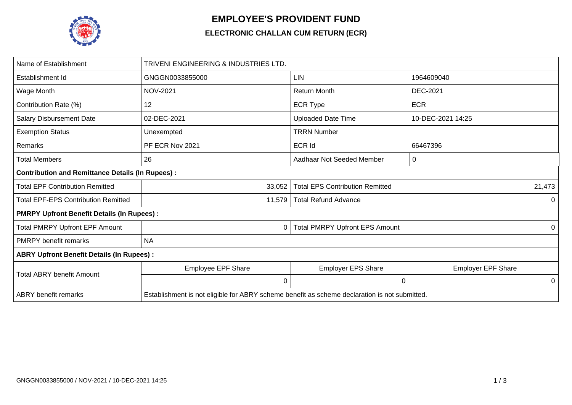

## **EMPLOYEE'S PROVIDENT FUND**

## **ELECTRONIC CHALLAN CUM RETURN (ECR)**

| Name of Establishment                                   | TRIVENI ENGINEERING & INDUSTRIES LTD.                                                         |                                        |                           |  |  |  |  |  |  |
|---------------------------------------------------------|-----------------------------------------------------------------------------------------------|----------------------------------------|---------------------------|--|--|--|--|--|--|
| Establishment Id                                        | GNGGN0033855000                                                                               | <b>LIN</b>                             | 1964609040                |  |  |  |  |  |  |
| Wage Month                                              | <b>NOV-2021</b>                                                                               | <b>Return Month</b>                    | <b>DEC-2021</b>           |  |  |  |  |  |  |
| Contribution Rate (%)                                   | 12                                                                                            | <b>ECR Type</b>                        | <b>ECR</b>                |  |  |  |  |  |  |
| <b>Salary Disbursement Date</b>                         | 02-DEC-2021                                                                                   | <b>Uploaded Date Time</b>              | 10-DEC-2021 14:25         |  |  |  |  |  |  |
| <b>Exemption Status</b>                                 | Unexempted                                                                                    | <b>TRRN Number</b>                     |                           |  |  |  |  |  |  |
| Remarks                                                 | PF ECR Nov 2021                                                                               | ECR Id                                 | 66467396                  |  |  |  |  |  |  |
| <b>Total Members</b>                                    | 26                                                                                            | Aadhaar Not Seeded Member              | 0                         |  |  |  |  |  |  |
| <b>Contribution and Remittance Details (In Rupees):</b> |                                                                                               |                                        |                           |  |  |  |  |  |  |
| <b>Total EPF Contribution Remitted</b>                  | 33,052                                                                                        | <b>Total EPS Contribution Remitted</b> | 21,473                    |  |  |  |  |  |  |
| <b>Total EPF-EPS Contribution Remitted</b>              | 11,579                                                                                        | <b>Total Refund Advance</b>            | 0                         |  |  |  |  |  |  |
| <b>PMRPY Upfront Benefit Details (In Rupees):</b>       |                                                                                               |                                        |                           |  |  |  |  |  |  |
| <b>Total PMRPY Upfront EPF Amount</b>                   | 0                                                                                             | <b>Total PMRPY Upfront EPS Amount</b>  | 0                         |  |  |  |  |  |  |
| <b>PMRPY benefit remarks</b>                            | <b>NA</b>                                                                                     |                                        |                           |  |  |  |  |  |  |
| <b>ABRY Upfront Benefit Details (In Rupees):</b>        |                                                                                               |                                        |                           |  |  |  |  |  |  |
| <b>Total ABRY benefit Amount</b>                        | Employee EPF Share                                                                            | <b>Employer EPS Share</b>              | <b>Employer EPF Share</b> |  |  |  |  |  |  |
|                                                         | 0                                                                                             | 0                                      | 0                         |  |  |  |  |  |  |
| <b>ABRY</b> benefit remarks                             | Establishment is not eligible for ABRY scheme benefit as scheme declaration is not submitted. |                                        |                           |  |  |  |  |  |  |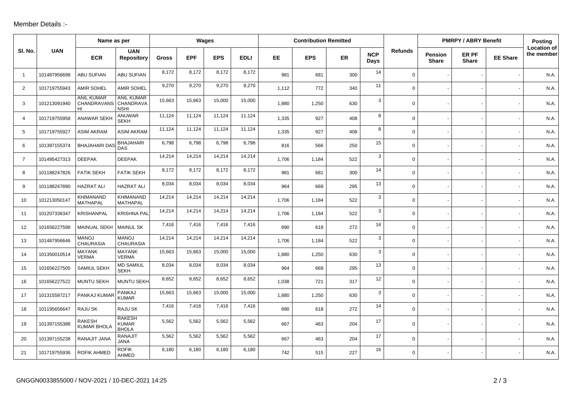## Member Details :-

|                | Name as per  |                                                  |                                               | Wages  |            |            | <b>Contribution Remitted</b> |           |            |           |                    | <b>PMRPY / ABRY Benefit</b> | Posting                        |                       |                 |                                  |
|----------------|--------------|--------------------------------------------------|-----------------------------------------------|--------|------------|------------|------------------------------|-----------|------------|-----------|--------------------|-----------------------------|--------------------------------|-----------------------|-----------------|----------------------------------|
| SI. No.        | <b>UAN</b>   | <b>ECR</b>                                       | <b>UAN</b><br><b>Repository</b>               | Gross  | <b>EPF</b> | <b>EPS</b> | <b>EDLI</b>                  | <b>EE</b> | <b>EPS</b> | <b>ER</b> | <b>NCP</b><br>Days | <b>Refunds</b>              | <b>Pension</b><br><b>Share</b> | ER PF<br><b>Share</b> | <b>EE Share</b> | <b>Location of</b><br>the member |
| $\overline{1}$ | 101487956698 | <b>ABU SUFIAN</b>                                | ABU SUFIAN                                    | 8,172  | 8,172      | 8,172      | 8,172                        | 981       | 681        | 300       | 14                 | $\mathbf 0$                 |                                |                       |                 | N.A.                             |
| 2              | 101719755943 | <b>AMIR SOHEL</b>                                | <b>AMIR SOHEL</b>                             | 9,270  | 9,270      | 9,270      | 9,270                        | 1,112     | 772        | 340       | 11                 | $\mathbf 0$                 |                                |                       |                 | N.A.                             |
| 3              | 101213091940 | <b>ANIL KUMAR</b><br>CHANDRAVANS CHANDRAVA<br>HI | <b>ANIL KUMAR</b><br><b>NSHI</b>              | 15,663 | 15,663     | 15,000     | 15,000                       | 1,880     | 1,250      | 630       | 3                  | $\mathsf{O}$                |                                |                       |                 | N.A.                             |
| $\overline{4}$ | 101719755958 | <b>ANAWAR SEKH</b>                               | <b>ANUWAR</b><br><b>SEKH</b>                  | 11,124 | 11,124     | 11,124     | 11,124                       | 1,335     | 927        | 408       | 8                  | $\mathsf{O}$                |                                |                       |                 | N.A.                             |
| 5              | 101719755927 | <b>ASIM AKRAM</b>                                | <b>ASIM AKRAM</b>                             | 11,124 | 11,124     | 11,124     | 11,124                       | 1,335     | 927        | 408       | 8                  | $\mathbf 0$                 |                                |                       |                 | N.A.                             |
| 6              | 101397155374 | <b>BHAJAHARI DAS</b>                             | <b>BHAJAHARI</b><br><b>DAS</b>                | 6,798  | 6,798      | 6,798      | 6,798                        | 816       | 566        | 250       | 15                 | $\mathbf 0$                 |                                |                       |                 | N.A.                             |
| $\overline{7}$ | 101495427313 | <b>DEEPAK</b>                                    | <b>DEEPAK</b>                                 | 14,214 | 14,214     | 14,214     | 14,214                       | 1.706     | 1,184      | 522       | 3                  | $\mathbf 0$                 |                                |                       |                 | N.A.                             |
| 8              | 101188247826 | <b>FATIK SEKH</b>                                | <b>FATIK SEKH</b>                             | 8,172  | 8,172      | 8,172      | 8,172                        | 981       | 681        | 300       | 14                 | $\mathbf 0$                 |                                |                       |                 | N.A.                             |
| 9              | 101188247890 | <b>HAZRAT ALI</b>                                | <b>HAZRAT ALI</b>                             | 8,034  | 8,034      | 8,034      | 8,034                        | 964       | 669        | 295       | 13                 | $\mathbf 0$                 |                                |                       |                 | N.A.                             |
| 10             | 101213050147 | KHIMANAND<br>MATHAPAL                            | KHIMANAND<br><b>MATHAPAL</b>                  | 14,214 | 14,214     | 14,214     | 14,214                       | 1.706     | 1,184      | 522       | 3                  | $\mathbf 0$                 |                                |                       |                 | N.A.                             |
| 11             | 101207336347 | KRISHANPAL                                       | <b>KRISHNA PAL</b>                            | 14,214 | 14,214     | 14,214     | 14,214                       | 1,706     | 1,184      | 522       | 3                  | $\mathsf{O}$                |                                |                       |                 | N.A.                             |
| 12             | 101656227598 | <b>MAINUAL SEKH</b>                              | <b>MAINUL SK</b>                              | 7,416  | 7,416      | 7,416      | 7,416                        | 890       | 618        | 272       | 14                 | $\mathbf 0$                 |                                |                       |                 | N.A.                             |
| 13             | 101487956646 | <b>MANOJ</b><br><b>CHAURASIA</b>                 | <b>MANOJ</b><br><b>CHAURASIA</b>              | 14,214 | 14,214     | 14,214     | 14,214                       | 1,706     | 1,184      | 522       | 3                  | $\mathsf{O}$                |                                |                       |                 | N.A.                             |
| 14             | 101350010514 | <b>MAYANK</b><br><b>VERMA</b>                    | <b>MAYANK</b><br><b>VERMA</b>                 | 15,663 | 15,663     | 15,000     | 15,000                       | 1,880     | 1,250      | 630       | $\mathbf{3}$       | $\mathbf 0$                 |                                |                       |                 | N.A.                             |
| 15             | 101656227505 | SAMIUL SEKH                                      | <b>MD SAMIUL</b><br><b>SEKH</b>               | 8,034  | 8,034      | 8,034      | 8,034                        | 964       | 669        | 295       | 13                 | $\mathbf 0$                 |                                |                       |                 | N.A.                             |
| 16             | 101656227522 | <b>MUNTU SEKH</b>                                | <b>MUNTU SEKH</b>                             | 8,652  | 8,652      | 8,652      | 8,652                        | 1,038     | 721        | 317       | 12                 | $\mathbf 0$                 |                                |                       |                 | N.A.                             |
| 17             | 101315587217 | PANKAJ KUMAR                                     | <b>PANKAJ</b><br><b>KUMAR</b>                 | 15,663 | 15,663     | 15,000     | 15,000                       | 1,880     | 1,250      | 630       | 3                  | $\mathbf 0$                 |                                |                       |                 | N.A.                             |
| 18             | 101195656647 | RAJU SK                                          | RAJU SK                                       | 7,416  | 7,416      | 7,416      | 7,416                        | 890       | 618        | 272       | 14                 | $\mathbf 0$                 |                                |                       |                 | N.A.                             |
| 19             | 101397155388 | <b>RAKESH</b><br><b>KUMAR BHOLA</b>              | <b>RAKESH</b><br><b>KUMAR</b><br><b>BHOLA</b> | 5,562  | 5,562      | 5,562      | 5,562                        | 667       | 463        | 204       | 17                 | $\mathbf 0$                 |                                |                       |                 | N.A.                             |
| 20             | 101397155238 | RANAJIT JANA                                     | <b>RANAJIT</b><br><b>JANA</b>                 | 5,562  | 5,562      | 5,562      | 5,562                        | 667       | 463        | 204       | 17                 | $\mathbf 0$                 |                                |                       |                 | N.A.                             |
| 21             | 101719755936 | <b>ROFIK AHMED</b>                               | <b>ROFIK</b><br>AHMED                         | 6,180  | 6,180      | 6,180      | 6,180                        | 742       | 515        | 227       | 16                 | $\mathbf 0$                 |                                |                       |                 | N.A.                             |